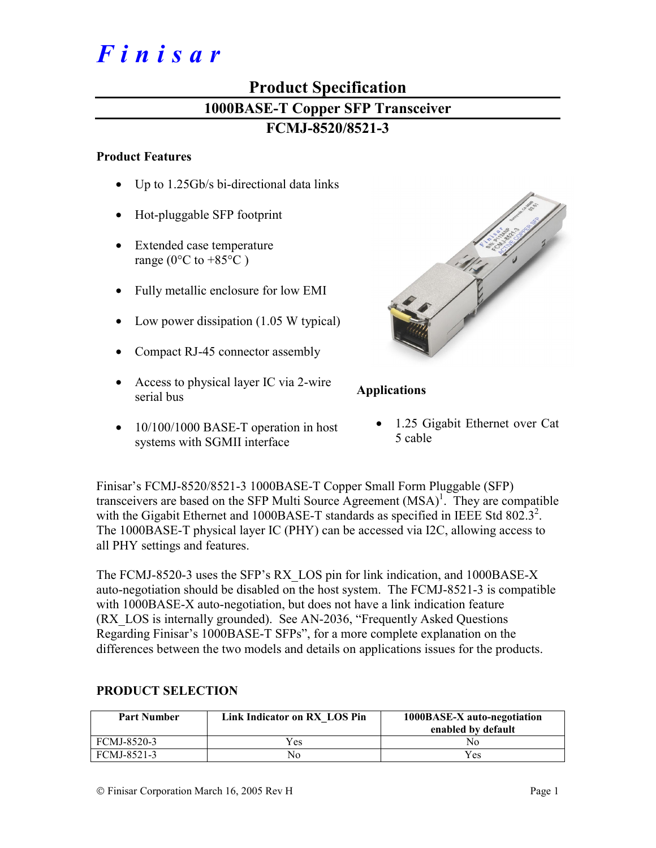# *Finisar*

# **Product Specification 1000BASE-T Copper SFP Transceiver FCMJ-8520/8521-3**

#### **Product Features**

- Up to 1.25Gb/s bi-directional data links
- Hot-pluggable SFP footprint
- Extended case temperature range ( $0^{\circ}$ C to +85 $^{\circ}$ C)
- Fully metallic enclosure for low EMI
- Low power dissipation (1.05 W typical)
- Compact RJ-45 connector assembly
- Access to physical layer IC via 2-wire serial bus
- 10/100/1000 BASE-T operation in host systems with SGMII interface

# **Applications**

• 1.25 Gigabit Ethernet over Cat 5 cable

Finisar's FCMJ-8520/8521-3 1000BASE-T Copper Small Form Pluggable (SFP) transceivers are based on the SFP Multi Source Agreement  $(MSA)^{1}$ . They are compatible with the Gigabit Ethernet and 1000BASE-T standards as specified in IEEE Std 802.3<sup>2</sup>. The 1000BASE-T physical layer IC (PHY) can be accessed via I2C, allowing access to all PHY settings and features.

The FCMJ-8520-3 uses the SFP's RX\_LOS pin for link indication, and 1000BASE-X auto-negotiation should be disabled on the host system. The FCMJ-8521-3 is compatible with 1000BASE-X auto-negotiation, but does not have a link indication feature (RX\_LOS is internally grounded). See AN-2036, "Frequently Asked Questions Regarding Finisar's 1000BASE-T SFPs", for a more complete explanation on the differences between the two models and details on applications issues for the products.

| <b>Part Number</b> | Link Indicator on RX LOS Pin | 1000BASE-X auto-negotiation<br>enabled by default |
|--------------------|------------------------------|---------------------------------------------------|
| FCMJ-8520-3        | Yes                          | Nο                                                |
| FCMJ-8521-3        | No                           | Yes                                               |

### **PRODUCT SELECTION**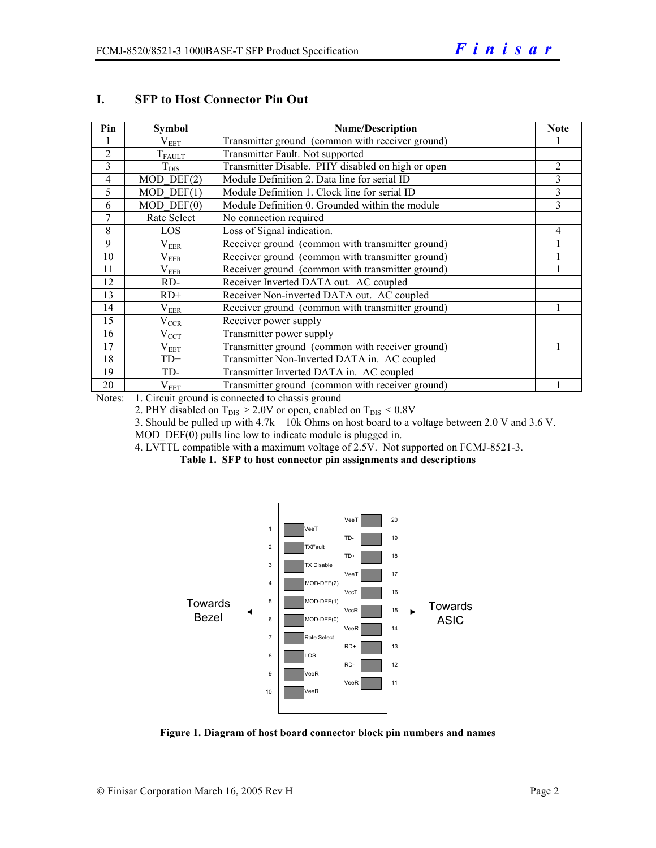| Pin            | <b>Symbol</b>   | <b>Name/Description</b>                           | <b>Note</b>    |
|----------------|-----------------|---------------------------------------------------|----------------|
|                | $\rm V_{EET}$   | Transmitter ground (common with receiver ground)  |                |
| $\overline{2}$ | $T_{FAULT}$     | Transmitter Fault. Not supported                  |                |
| 3              | $T_{\rm DIS}$   | Transmitter Disable. PHY disabled on high or open | $\overline{c}$ |
| $\overline{4}$ | $MOD$ DEF $(2)$ | Module Definition 2. Data line for serial ID      | 3              |
| 5              | $MOD$ DEF $(1)$ | Module Definition 1. Clock line for serial ID     | 3              |
| 6              | $MOD$ $DEF(0)$  | Module Definition 0. Grounded within the module   | 3              |
| 7              | Rate Select     | No connection required                            |                |
| 8              | LOS             | Loss of Signal indication.                        | 4              |
| 9              | $\rm V_{EER}$   | Receiver ground (common with transmitter ground)  |                |
| 10             | $\rm V_{EER}$   | Receiver ground (common with transmitter ground)  |                |
| 11             | $\rm V_{EER}$   | Receiver ground (common with transmitter ground)  |                |
| 12             | RD-             | Receiver Inverted DATA out. AC coupled            |                |
| 13             | $RD+$           | Receiver Non-inverted DATA out. AC coupled        |                |
| 14             | $V_{EER}$       | Receiver ground (common with transmitter ground)  |                |
| 15             | $\rm V_{CCR}$   | Receiver power supply                             |                |
| 16             | $\rm V_{CCT}$   | Transmitter power supply                          |                |
| 17             | $\rm V_{EET}$   | Transmitter ground (common with receiver ground)  |                |
| 18             | $TD+$           | Transmitter Non-Inverted DATA in. AC coupled      |                |
| 19             | TD-             | Transmitter Inverted DATA in. AC coupled          |                |
| 20             | $\rm V_{EET}$   | Transmitter ground (common with receiver ground)  |                |

#### **I. SFP to Host Connector Pin Out**

Notes: 1. Circuit ground is connected to chassis ground

2. PHY disabled on  $T_{DIS}$  > 2.0V or open, enabled on  $T_{DIS}$  < 0.8V

3. Should be pulled up with 4.7k – 10k Ohms on host board to a voltage between 2.0 V and 3.6 V.

MOD  $DEF(0)$  pulls line low to indicate module is plugged in.

4. LVTTL compatible with a maximum voltage of 2.5V. Not supported on FCMJ-8521-3.

**Table 1. SFP to host connector pin assignments and descriptions** 



**Figure 1. Diagram of host board connector block pin numbers and names**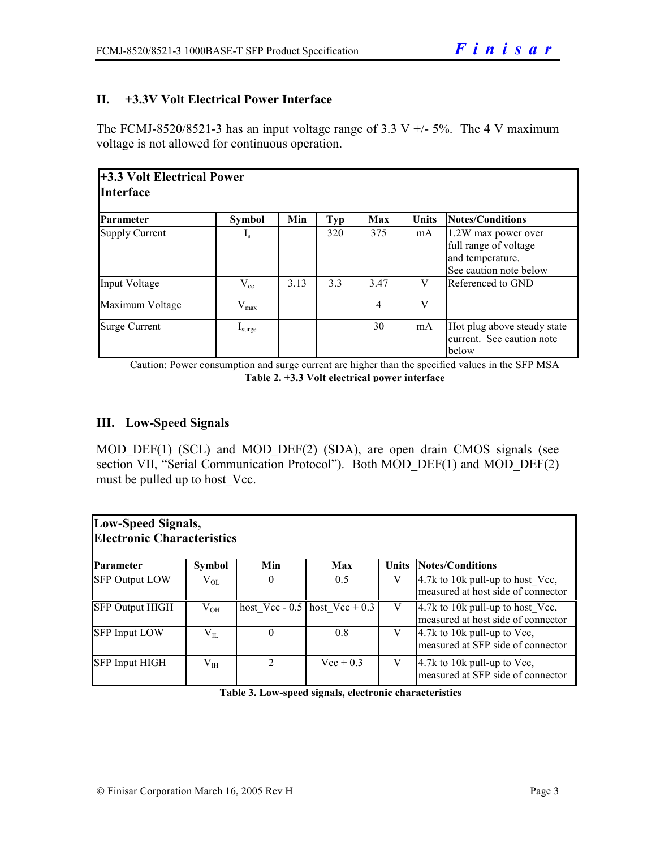# **II. +3.3V Volt Electrical Power Interface**

The FCMJ-8520/8521-3 has an input voltage range of 3.3 V  $+/-5\%$ . The 4 V maximum voltage is not allowed for continuous operation.

| +3.3 Volt Electrical Power<br><b>Interface</b> |                      |      |     |      |       |                                                                                            |  |  |
|------------------------------------------------|----------------------|------|-----|------|-------|--------------------------------------------------------------------------------------------|--|--|
| Parameter                                      | <b>Symbol</b>        | Min  | Typ | Max  | Units | Notes/Conditions                                                                           |  |  |
| <b>Supply Current</b>                          | $\mathbf{I}_{\rm S}$ |      | 320 | 375  | mA    | 1.2W max power over<br>full range of voltage<br>and temperature.<br>See caution note below |  |  |
| Input Voltage                                  | $V_{cc}$             | 3.13 | 3.3 | 3.47 | V     | Referenced to GND                                                                          |  |  |
| Maximum Voltage                                | $V_{max}$            |      |     | 4    | V     |                                                                                            |  |  |
| <b>Surge Current</b>                           | I <sub>sure</sub>    |      |     | 30   | mA    | Hot plug above steady state<br>current. See caution note<br>below                          |  |  |

Caution: Power consumption and surge current are higher than the specified values in the SFP MSA **Table 2. +3.3 Volt electrical power interface**

# **III. Low-Speed Signals**

MOD DEF(1) (SCL) and MOD DEF(2) (SDA), are open drain CMOS signals (see section VII, "Serial Communication Protocol"). Both MOD DEF(1) and MOD DEF(2) must be pulled up to host Vcc.

| Low-Speed Signals,<br><b>Electronic Characteristics</b> |               |                             |                                   |              |                                                                          |  |  |  |  |  |
|---------------------------------------------------------|---------------|-----------------------------|-----------------------------------|--------------|--------------------------------------------------------------------------|--|--|--|--|--|
| <b>Parameter</b>                                        | <b>Symbol</b> | Min                         | Max                               | <b>Units</b> | Notes/Conditions                                                         |  |  |  |  |  |
| <b>SFP Output LOW</b>                                   | $\rm V_{OL}$  | $\theta$                    | 0.5                               | V            | $4.7k$ to 10k pull-up to host Vcc,<br>measured at host side of connector |  |  |  |  |  |
| <b>SFP Output HIGH</b>                                  | $V_{OH}$      |                             | host Vcc - $0.5$ host Vcc + $0.3$ | V            | 4.7k to 10k pull-up to host_Vcc,<br>measured at host side of connector   |  |  |  |  |  |
| <b>SFP Input LOW</b>                                    | $V_{IL}$      | $\Omega$                    | 0.8                               | V            | 4.7k to 10k pull-up to Vcc,<br>measured at SFP side of connector         |  |  |  |  |  |
| <b>SFP Input HIGH</b>                                   | $V_{IH}$      | $\mathcal{D}_{\mathcal{L}}$ | $Vec + 0.3$                       | V            | $4.7k$ to 10k pull-up to Vcc,<br>measured at SFP side of connector       |  |  |  |  |  |

**Table 3. Low-speed signals, electronic characteristics**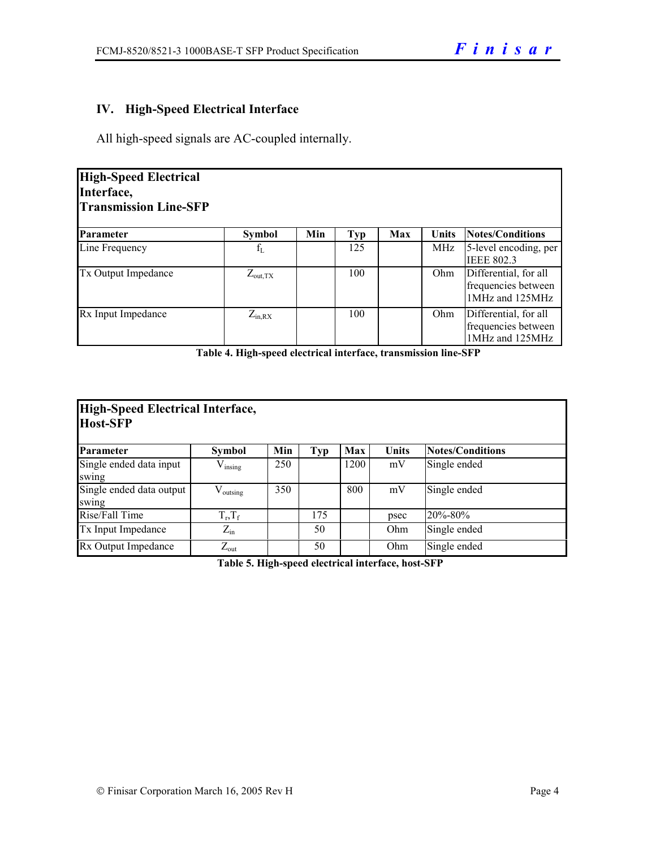# **IV. High-Speed Electrical Interface**

All high-speed signals are AC-coupled internally.

| <b>High-Speed Electrical</b><br>Interface,<br><b>Transmission Line-SFP</b> |                     |     |            |     |              |                                                                 |  |  |  |
|----------------------------------------------------------------------------|---------------------|-----|------------|-----|--------------|-----------------------------------------------------------------|--|--|--|
| Parameter                                                                  | <b>Symbol</b>       | Min | <b>Typ</b> | Max | <b>Units</b> | <b>Notes/Conditions</b>                                         |  |  |  |
| Line Frequency                                                             | $f_{L}$             |     | 125        |     | MHz          | 5-level encoding, per<br><b>IEEE 802.3</b>                      |  |  |  |
| <b>Tx Output Impedance</b>                                                 | $Z_{\text{out,TX}}$ |     | 100        |     | Ohm          | Differential, for all<br>frequencies between<br>1MHz and 125MHz |  |  |  |
| Rx Input Impedance                                                         | $Z_{in, RX}$        |     | 100        |     | Ohm          | Differential, for all<br>frequencies between<br>1MHz and 125MHz |  |  |  |

**Table 4. High-speed electrical interface, transmission line-SFP** 

| High-Speed Electrical Interface,<br><b>Host-SFP</b> |                      |     |            |      |              |                         |  |  |  |
|-----------------------------------------------------|----------------------|-----|------------|------|--------------|-------------------------|--|--|--|
| Parameter                                           | <b>Symbol</b>        | Min | <b>Typ</b> | Max  | <b>Units</b> | <b>Notes/Conditions</b> |  |  |  |
| Single ended data input<br>swing                    | $V_{insing}$         | 250 |            | 1200 | mV           | Single ended            |  |  |  |
| Single ended data output<br>swing                   | $V_{\text{outsing}}$ | 350 |            | 800  | mV           | Single ended            |  |  |  |
| Rise/Fall Time                                      | $T_r, T_f$           |     | 175        |      | psec         | $20\% - 80\%$           |  |  |  |
| Tx Input Impedance                                  | $Z_{\rm in}$         |     | 50         |      | Ohm          | Single ended            |  |  |  |
| Rx Output Impedance                                 | $Z_{\text{out}}$     |     | 50         |      | Ohm          | Single ended            |  |  |  |

**Table 5. High-speed electrical interface, host-SFP**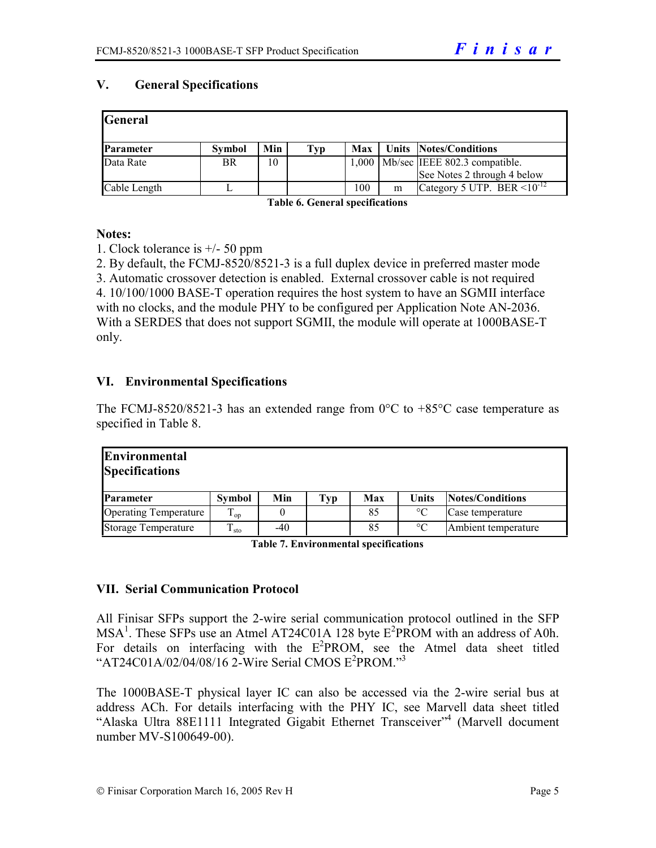# **V. General Specifications**

| General      |               |     |     |       |   |                                     |
|--------------|---------------|-----|-----|-------|---|-------------------------------------|
| Parameter    | <b>Symbol</b> | Min | Typ | Max   |   | Units Notes/Conditions              |
| Data Rate    | BR            | 10  |     | 1,000 |   | Mb/sec IEEE 802.3 compatible.       |
|              |               |     |     |       |   | See Notes 2 through 4 below         |
| Cable Length |               |     |     | 100   | m | Category 5 UTP. BER $\leq 10^{-12}$ |

**Table 6. General specifications** 

#### **Notes:**

1. Clock tolerance is +/- 50 ppm

2. By default, the FCMJ-8520/8521-3 is a full duplex device in preferred master mode

3. Automatic crossover detection is enabled. External crossover cable is not required 4. 10/100/1000 BASE-T operation requires the host system to have an SGMII interface with no clocks, and the module PHY to be configured per Application Note AN-2036. With a SERDES that does not support SGMII, the module will operate at 1000BASE-T only.

# **VI. Environmental Specifications**

The FCMJ-8520/8521-3 has an extended range from  $0^{\circ}$ C to  $+85^{\circ}$ C case temperature as specified in Table 8.

| <b>Environmental</b><br><b>Specifications</b> |                  |       |     |     |                 |                     |
|-----------------------------------------------|------------------|-------|-----|-----|-----------------|---------------------|
| <b>Parameter</b>                              | <b>Symbol</b>    | Min   | Typ | Max | Units           | Notes/Conditions    |
| <b>Operating Temperature</b>                  | $\mathbf{1}_{0}$ |       |     | 85  | $\rm ^{\circ}C$ | Case temperature    |
| <b>Storage Temperature</b>                    | $\mathbf{I}$ sto | $-40$ |     | 85  | $\rm ^{\circ}C$ | Ambient temperature |

**Table 7. Environmental specifications** 

### **VII. Serial Communication Protocol**

All Finisar SFPs support the 2-wire serial communication protocol outlined in the SFP  $MSA<sup>1</sup>$ . These SFPs use an Atmel AT24C01A 128 byte  $E<sup>2</sup>$ PROM with an address of A0h. For details on interfacing with the  $E^2$ PROM, see the Atmel data sheet titled "AT24C01A/02/04/08/16 2-Wire Serial CMOS E<sup>2</sup>PROM."<sup>3</sup>

The 1000BASE-T physical layer IC can also be accessed via the 2-wire serial bus at address ACh. For details interfacing with the PHY IC, see Marvell data sheet titled "Alaska Ultra 88E1111 Integrated Gigabit Ethernet Transceiver"<sup>4</sup> (Marvell document number MV-S100649-00).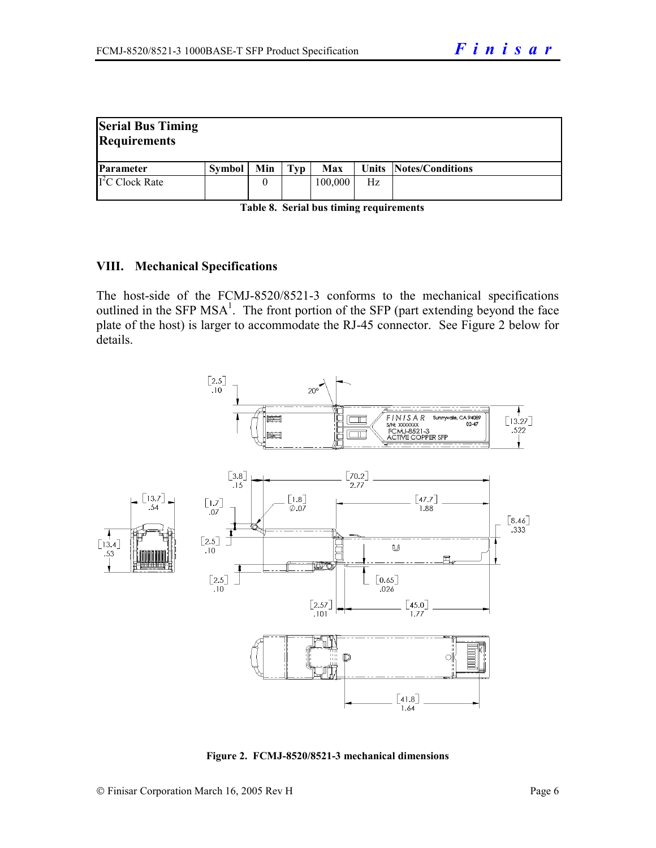| <b>Serial Bus Timing</b><br><b>Requirements</b> |        |     |     |         |    |                        |
|-------------------------------------------------|--------|-----|-----|---------|----|------------------------|
| <b>Parameter</b>                                | Symbol | Min | Typ | Max     |    | Units Notes/Conditions |
| $\Gamma$ <sup>2</sup> C Clock Rate              |        | 0   |     | 100,000 | Hz |                        |

| Table 8. Serial bus timing requirements |  |
|-----------------------------------------|--|
|-----------------------------------------|--|

#### **VIII. Mechanical Specifications**

The host-side of the FCMJ-8520/8521-3 conforms to the mechanical specifications outlined in the SFP  $MSA<sup>1</sup>$ . The front portion of the SFP (part extending beyond the face plate of the host) is larger to accommodate the RJ-45 connector. See Figure 2 below for details.



**Figure 2. FCMJ-8520/8521-3 mechanical dimensions**